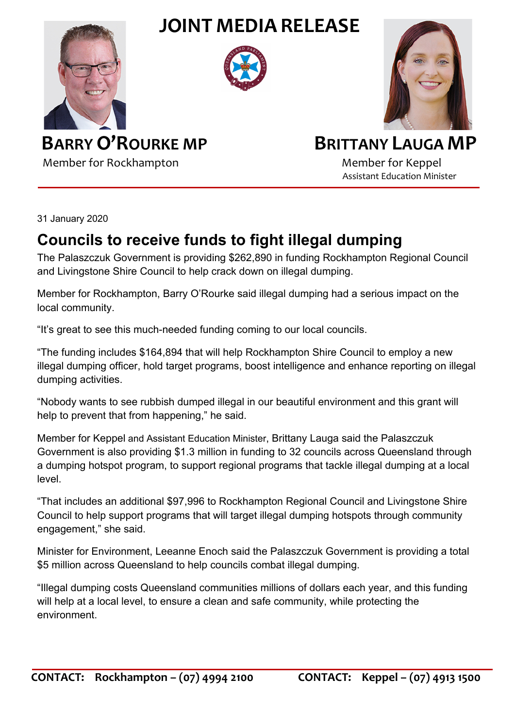**JOINT MEDIA RELEASE**







**BARRY O'ROURKE MP** BRITTANY LAUGA MP

Member for Rockhampton Member for Keppel

Assistant Education Minister

31 January 2020

## **Councils to receive funds to fight illegal dumping**

The Palaszczuk Government is providing \$262,890 in funding Rockhampton Regional Council and Livingstone Shire Council to help crack down on illegal dumping.

Member for Rockhampton, Barry O'Rourke said illegal dumping had a serious impact on the local community.

"It's great to see this much-needed funding coming to our local councils.

"The funding includes \$164,894 that will help Rockhampton Shire Council to employ a new illegal dumping officer, hold target programs, boost intelligence and enhance reporting on illegal dumping activities.

"Nobody wants to see rubbish dumped illegal in our beautiful environment and this grant will help to prevent that from happening," he said.

Member for Keppel and Assistant Education Minister, Brittany Lauga said the Palaszczuk Government is also providing \$1.3 million in funding to 32 councils across Queensland through a dumping hotspot program, to support regional programs that tackle illegal dumping at a local level.

"That includes an additional \$97,996 to Rockhampton Regional Council and Livingstone Shire Council to help support programs that will target illegal dumping hotspots through community engagement," she said.

Minister for Environment, Leeanne Enoch said the Palaszczuk Government is providing a total \$5 million across Queensland to help councils combat illegal dumping.

"Illegal dumping costs Queensland communities millions of dollars each year, and this funding will help at a local level, to ensure a clean and safe community, while protecting the environment.